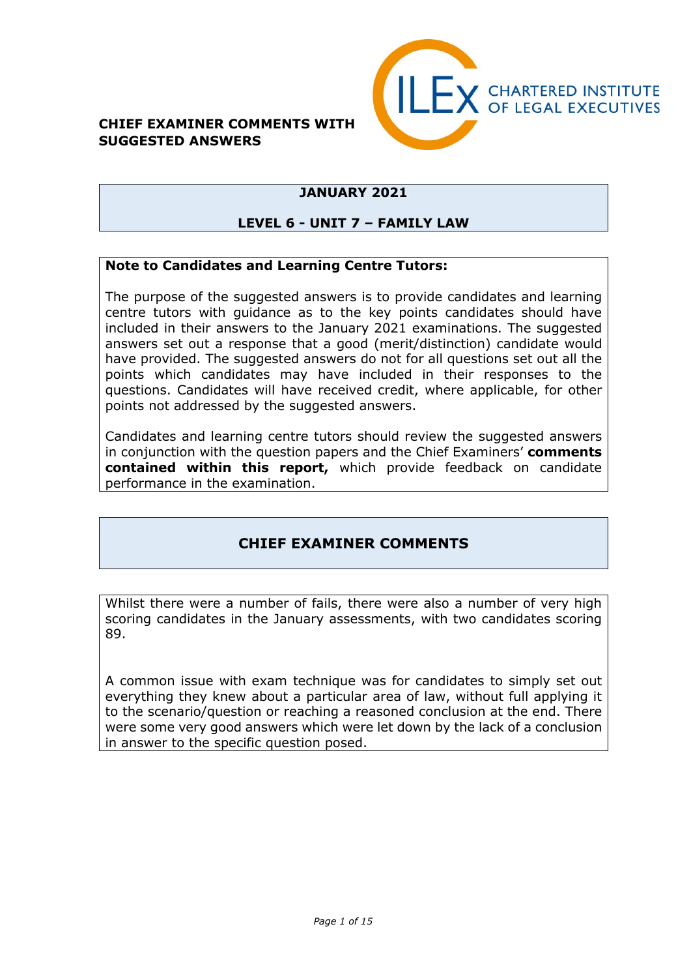#### **CHIEF EXAMINER COMMENTS WITH SUGGESTED ANSWERS**



# **JANUARY 2021**

#### **LEVEL 6 - UNIT 7 – FAMILY LAW**

#### **Note to Candidates and Learning Centre Tutors:**

The purpose of the suggested answers is to provide candidates and learning centre tutors with guidance as to the key points candidates should have included in their answers to the January 2021 examinations. The suggested answers set out a response that a good (merit/distinction) candidate would have provided. The suggested answers do not for all questions set out all the points which candidates may have included in their responses to the questions. Candidates will have received credit, where applicable, for other points not addressed by the suggested answers.

Candidates and learning centre tutors should review the suggested answers in conjunction with the question papers and the Chief Examiners' **comments contained within this report,** which provide feedback on candidate performance in the examination.

# **CHIEF EXAMINER COMMENTS**

Whilst there were a number of fails, there were also a number of very high scoring candidates in the January assessments, with two candidates scoring 89.

A common issue with exam technique was for candidates to simply set out everything they knew about a particular area of law, without full applying it to the scenario/question or reaching a reasoned conclusion at the end. There were some very good answers which were let down by the lack of a conclusion in answer to the specific question posed.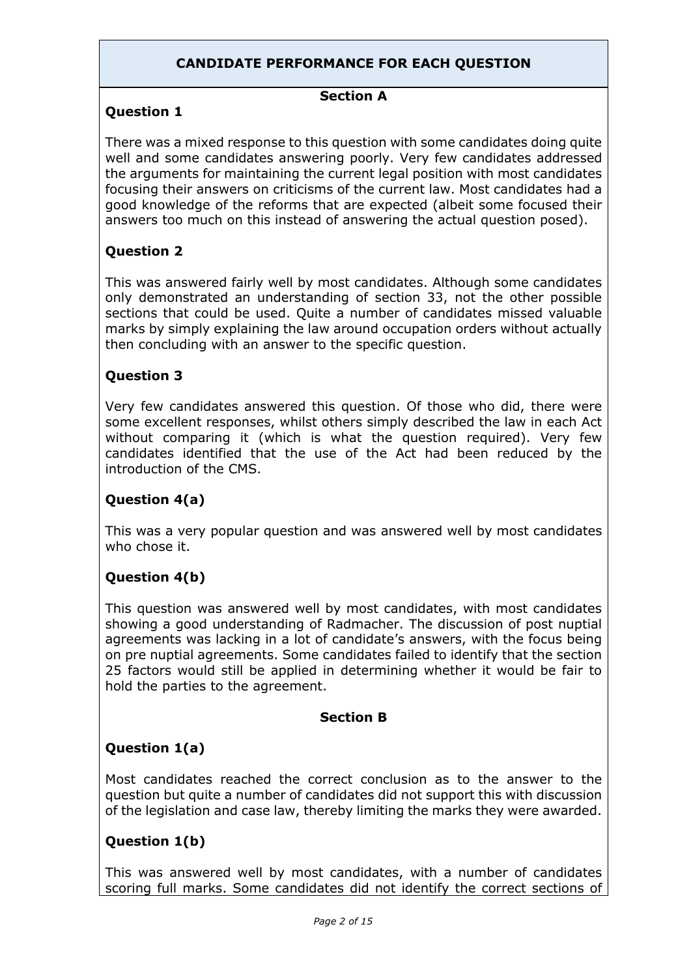# **CANDIDATE PERFORMANCE FOR EACH QUESTION**

# **Section A**

### **Question 1**

There was a mixed response to this question with some candidates doing quite well and some candidates answering poorly. Very few candidates addressed the arguments for maintaining the current legal position with most candidates focusing their answers on criticisms of the current law. Most candidates had a good knowledge of the reforms that are expected (albeit some focused their answers too much on this instead of answering the actual question posed).

# **Question 2**

This was answered fairly well by most candidates. Although some candidates only demonstrated an understanding of section 33, not the other possible sections that could be used. Quite a number of candidates missed valuable marks by simply explaining the law around occupation orders without actually then concluding with an answer to the specific question.

#### **Question 3**

Very few candidates answered this question. Of those who did, there were some excellent responses, whilst others simply described the law in each Act without comparing it (which is what the question required). Very few candidates identified that the use of the Act had been reduced by the introduction of the CMS.

# **Question 4(a)**

This was a very popular question and was answered well by most candidates who chose it.

# **Question 4(b)**

This question was answered well by most candidates, with most candidates showing a good understanding of Radmacher. The discussion of post nuptial agreements was lacking in a lot of candidate's answers, with the focus being on pre nuptial agreements. Some candidates failed to identify that the section 25 factors would still be applied in determining whether it would be fair to hold the parties to the agreement.

#### **Section B**

# **Question 1(a)**

Most candidates reached the correct conclusion as to the answer to the question but quite a number of candidates did not support this with discussion of the legislation and case law, thereby limiting the marks they were awarded.

# **Question 1(b)**

This was answered well by most candidates, with a number of candidates scoring full marks. Some candidates did not identify the correct sections of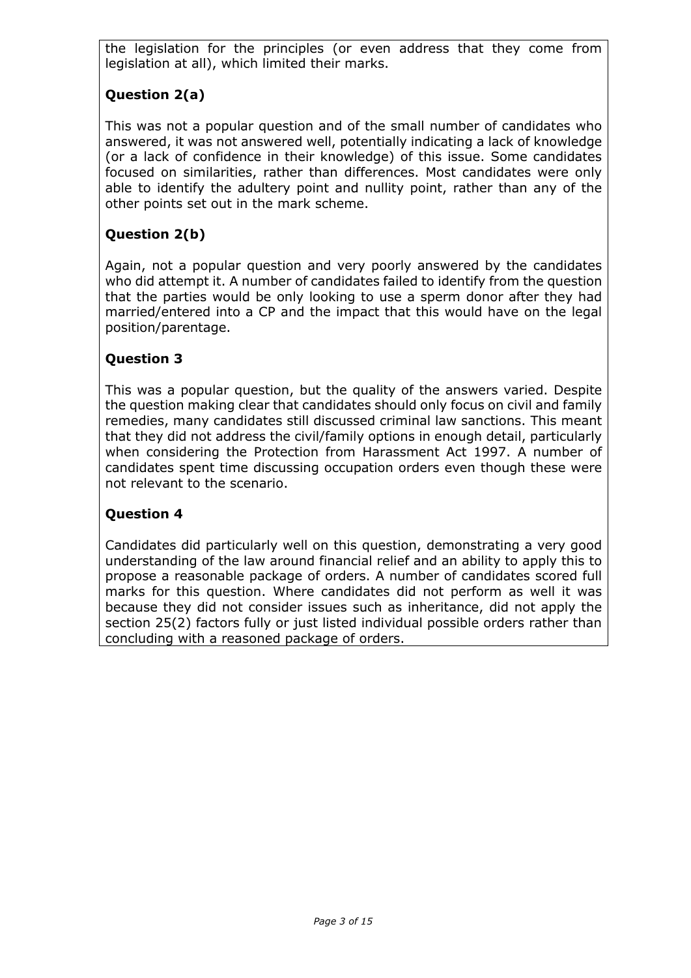the legislation for the principles (or even address that they come from legislation at all), which limited their marks.

# **Question 2(a)**

This was not a popular question and of the small number of candidates who answered, it was not answered well, potentially indicating a lack of knowledge (or a lack of confidence in their knowledge) of this issue. Some candidates focused on similarities, rather than differences. Most candidates were only able to identify the adultery point and nullity point, rather than any of the other points set out in the mark scheme.

# **Question 2(b)**

Again, not a popular question and very poorly answered by the candidates who did attempt it. A number of candidates failed to identify from the question that the parties would be only looking to use a sperm donor after they had married/entered into a CP and the impact that this would have on the legal position/parentage.

# **Question 3**

This was a popular question, but the quality of the answers varied. Despite the question making clear that candidates should only focus on civil and family remedies, many candidates still discussed criminal law sanctions. This meant that they did not address the civil/family options in enough detail, particularly when considering the Protection from Harassment Act 1997. A number of candidates spent time discussing occupation orders even though these were not relevant to the scenario.

#### **Question 4**

Candidates did particularly well on this question, demonstrating a very good understanding of the law around financial relief and an ability to apply this to propose a reasonable package of orders. A number of candidates scored full marks for this question. Where candidates did not perform as well it was because they did not consider issues such as inheritance, did not apply the section 25(2) factors fully or just listed individual possible orders rather than concluding with a reasoned package of orders.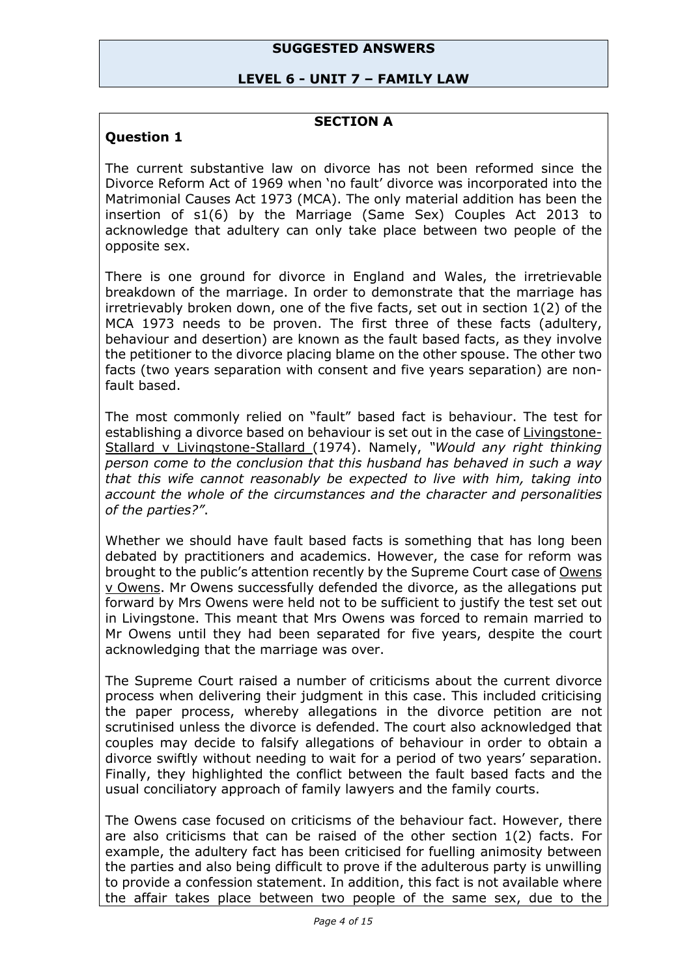#### **SUGGESTED ANSWERS**

#### **LEVEL 6 - UNIT 7 – FAMILY LAW**

#### **SECTION A**

#### **Question 1**

The current substantive law on divorce has not been reformed since the Divorce Reform Act of 1969 when 'no fault' divorce was incorporated into the Matrimonial Causes Act 1973 (MCA). The only material addition has been the insertion of s1(6) by the Marriage (Same Sex) Couples Act 2013 to acknowledge that adultery can only take place between two people of the opposite sex.

There is one ground for divorce in England and Wales, the irretrievable breakdown of the marriage. In order to demonstrate that the marriage has irretrievably broken down, one of the five facts, set out in section 1(2) of the MCA 1973 needs to be proven. The first three of these facts (adultery, behaviour and desertion) are known as the fault based facts, as they involve the petitioner to the divorce placing blame on the other spouse. The other two facts (two years separation with consent and five years separation) are nonfault based.

The most commonly relied on "fault" based fact is behaviour. The test for establishing a divorce based on behaviour is set out in the case of Livingstone-Stallard v Livingstone-Stallard (1974). Namely, *"Would any right thinking person come to the conclusion that this husband has behaved in such a way that this wife cannot reasonably be expected to live with him, taking into account the whole of the circumstances and the character and personalities of the parties?"*.

Whether we should have fault based facts is something that has long been debated by practitioners and academics. However, the case for reform was brought to the public's attention recently by the Supreme Court case of Owens v Owens. Mr Owens successfully defended the divorce, as the allegations put forward by Mrs Owens were held not to be sufficient to justify the test set out in Livingstone. This meant that Mrs Owens was forced to remain married to Mr Owens until they had been separated for five years, despite the court acknowledging that the marriage was over.

The Supreme Court raised a number of criticisms about the current divorce process when delivering their judgment in this case. This included criticising the paper process, whereby allegations in the divorce petition are not scrutinised unless the divorce is defended. The court also acknowledged that couples may decide to falsify allegations of behaviour in order to obtain a divorce swiftly without needing to wait for a period of two years' separation. Finally, they highlighted the conflict between the fault based facts and the usual conciliatory approach of family lawyers and the family courts.

The Owens case focused on criticisms of the behaviour fact. However, there are also criticisms that can be raised of the other section 1(2) facts. For example, the adultery fact has been criticised for fuelling animosity between the parties and also being difficult to prove if the adulterous party is unwilling to provide a confession statement. In addition, this fact is not available where the affair takes place between two people of the same sex, due to the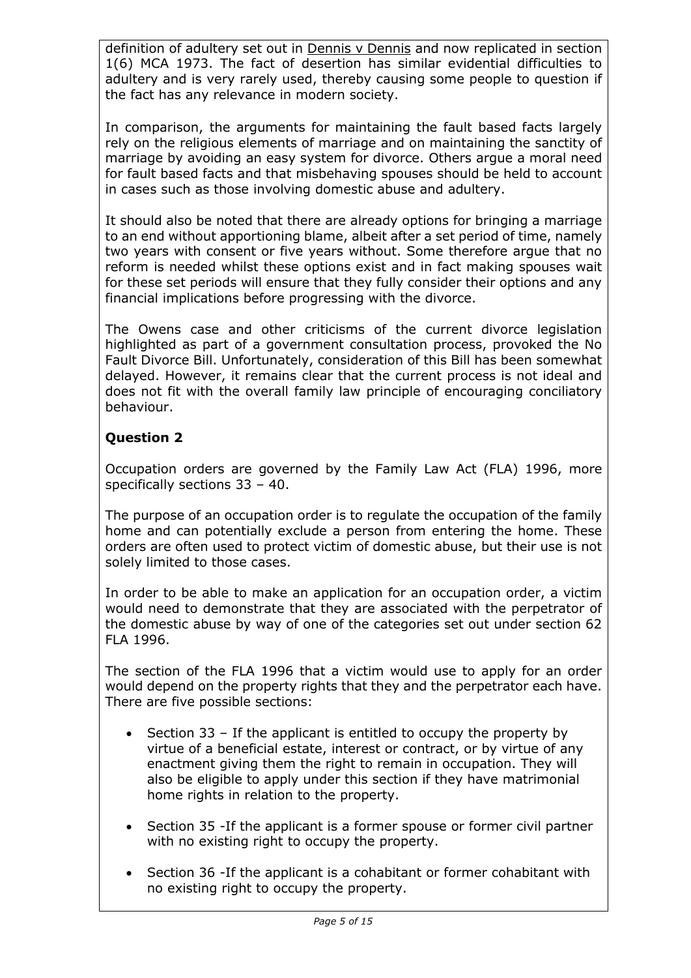definition of adultery set out in Dennis v Dennis and now replicated in section 1(6) MCA 1973. The fact of desertion has similar evidential difficulties to adultery and is very rarely used, thereby causing some people to question if the fact has any relevance in modern society.

In comparison, the arguments for maintaining the fault based facts largely rely on the religious elements of marriage and on maintaining the sanctity of marriage by avoiding an easy system for divorce. Others argue a moral need for fault based facts and that misbehaving spouses should be held to account in cases such as those involving domestic abuse and adultery.

It should also be noted that there are already options for bringing a marriage to an end without apportioning blame, albeit after a set period of time, namely two years with consent or five years without. Some therefore argue that no reform is needed whilst these options exist and in fact making spouses wait for these set periods will ensure that they fully consider their options and any financial implications before progressing with the divorce.

The Owens case and other criticisms of the current divorce legislation highlighted as part of a government consultation process, provoked the No Fault Divorce Bill. Unfortunately, consideration of this Bill has been somewhat delayed. However, it remains clear that the current process is not ideal and does not fit with the overall family law principle of encouraging conciliatory behaviour.

# **Question 2**

Occupation orders are governed by the Family Law Act (FLA) 1996, more specifically sections 33 – 40.

The purpose of an occupation order is to regulate the occupation of the family home and can potentially exclude a person from entering the home. These orders are often used to protect victim of domestic abuse, but their use is not solely limited to those cases.

In order to be able to make an application for an occupation order, a victim would need to demonstrate that they are associated with the perpetrator of the domestic abuse by way of one of the categories set out under section 62 FLA 1996.

The section of the FLA 1996 that a victim would use to apply for an order would depend on the property rights that they and the perpetrator each have. There are five possible sections:

- Section  $33$  If the applicant is entitled to occupy the property by virtue of a beneficial estate, interest or contract, or by virtue of any enactment giving them the right to remain in occupation. They will also be eligible to apply under this section if they have matrimonial home rights in relation to the property.
- Section 35 -If the applicant is a former spouse or former civil partner with no existing right to occupy the property.
- Section 36 -If the applicant is a cohabitant or former cohabitant with no existing right to occupy the property.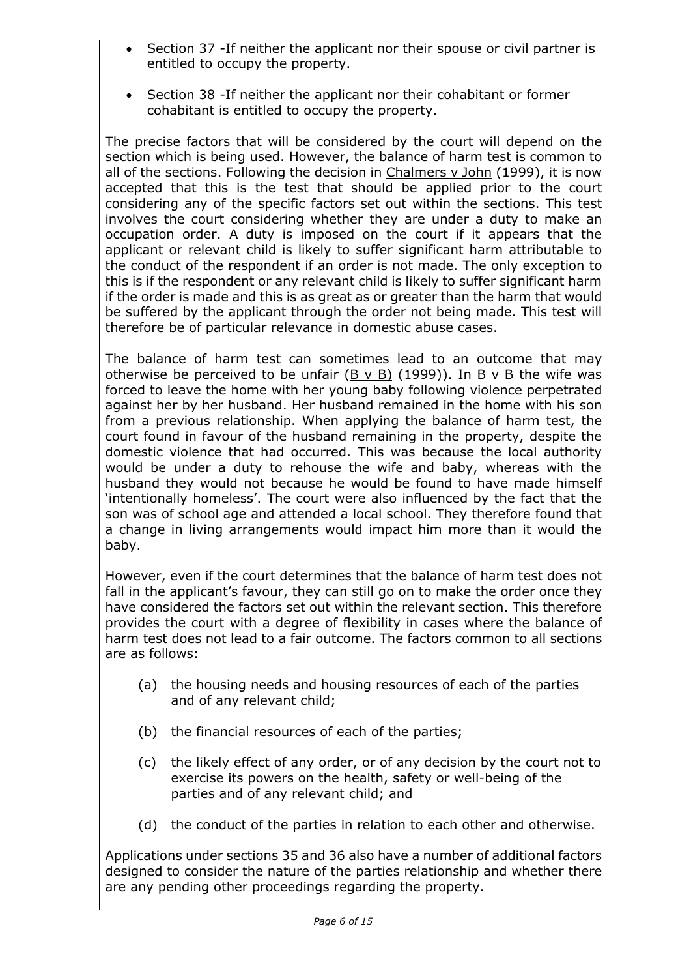- Section 37 -If neither the applicant nor their spouse or civil partner is entitled to occupy the property.
- Section 38 -If neither the applicant nor their cohabitant or former cohabitant is entitled to occupy the property.

The precise factors that will be considered by the court will depend on the section which is being used. However, the balance of harm test is common to all of the sections. Following the decision in Chalmers v John (1999), it is now accepted that this is the test that should be applied prior to the court considering any of the specific factors set out within the sections. This test involves the court considering whether they are under a duty to make an occupation order. A duty is imposed on the court if it appears that the applicant or relevant child is likely to suffer significant harm attributable to the conduct of the respondent if an order is not made. The only exception to this is if the respondent or any relevant child is likely to suffer significant harm if the order is made and this is as great as or greater than the harm that would be suffered by the applicant through the order not being made. This test will therefore be of particular relevance in domestic abuse cases.

The balance of harm test can sometimes lead to an outcome that may otherwise be perceived to be unfair (B v B) (1999)). In B v B the wife was forced to leave the home with her young baby following violence perpetrated against her by her husband. Her husband remained in the home with his son from a previous relationship. When applying the balance of harm test, the court found in favour of the husband remaining in the property, despite the domestic violence that had occurred. This was because the local authority would be under a duty to rehouse the wife and baby, whereas with the husband they would not because he would be found to have made himself 'intentionally homeless'. The court were also influenced by the fact that the son was of school age and attended a local school. They therefore found that a change in living arrangements would impact him more than it would the baby.

However, even if the court determines that the balance of harm test does not fall in the applicant's favour, they can still go on to make the order once they have considered the factors set out within the relevant section. This therefore provides the court with a degree of flexibility in cases where the balance of harm test does not lead to a fair outcome. The factors common to all sections are as follows:

- (a) the housing needs and housing resources of each of the parties and of any relevant child;
- (b) the financial resources of each of the parties;
- (c) the likely effect of any order, or of any decision by the court not to exercise its powers on the health, safety or well-being of the parties and of any relevant child; and
- (d) the conduct of the parties in relation to each other and otherwise.

Applications under sections 35 and 36 also have a number of additional factors designed to consider the nature of the parties relationship and whether there are any pending other proceedings regarding the property.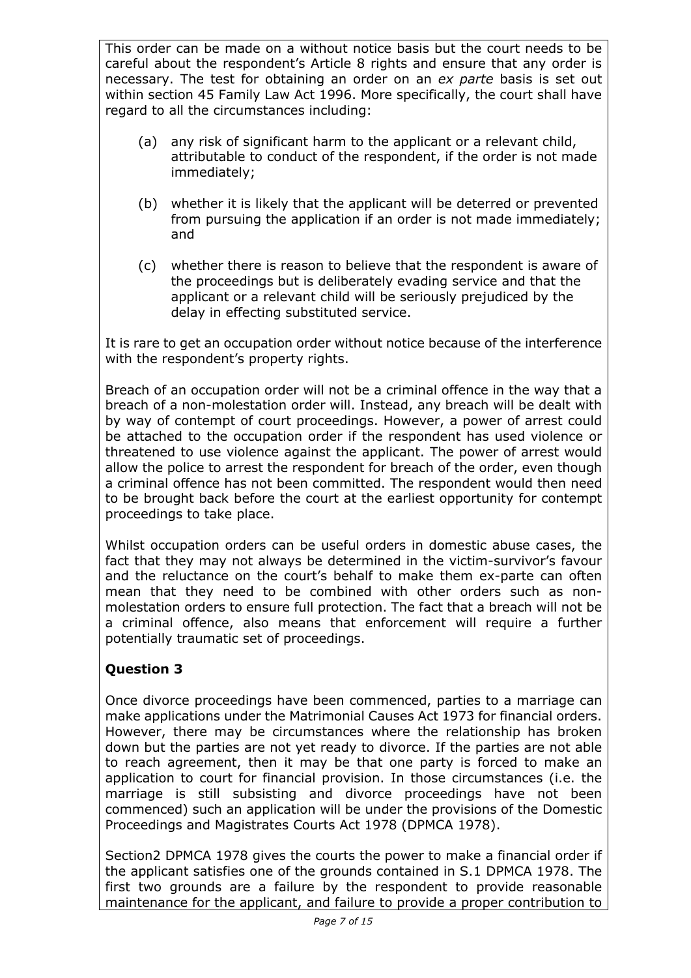This order can be made on a without notice basis but the court needs to be careful about the respondent's Article 8 rights and ensure that any order is necessary. The test for obtaining an order on an *ex parte* basis is set out within section 45 Family Law Act 1996. More specifically, the court shall have regard to all the circumstances including:

- (a) any risk of significant harm to the applicant or a relevant child, attributable to conduct of the respondent, if the order is not made immediately;
- (b) whether it is likely that the applicant will be deterred or prevented from pursuing the application if an order is not made immediately; and
- (c) whether there is reason to believe that the respondent is aware of the proceedings but is deliberately evading service and that the applicant or a relevant child will be seriously prejudiced by the delay in effecting substituted service.

It is rare to get an occupation order without notice because of the interference with the respondent's property rights.

Breach of an occupation order will not be a criminal offence in the way that a breach of a non-molestation order will. Instead, any breach will be dealt with by way of contempt of court proceedings. However, a power of arrest could be attached to the occupation order if the respondent has used violence or threatened to use violence against the applicant. The power of arrest would allow the police to arrest the respondent for breach of the order, even though a criminal offence has not been committed. The respondent would then need to be brought back before the court at the earliest opportunity for contempt proceedings to take place.

Whilst occupation orders can be useful orders in domestic abuse cases, the fact that they may not always be determined in the victim-survivor's favour and the reluctance on the court's behalf to make them ex-parte can often mean that they need to be combined with other orders such as nonmolestation orders to ensure full protection. The fact that a breach will not be a criminal offence, also means that enforcement will require a further potentially traumatic set of proceedings.

# **Question 3**

Once divorce proceedings have been commenced, parties to a marriage can make applications under the Matrimonial Causes Act 1973 for financial orders. However, there may be circumstances where the relationship has broken down but the parties are not yet ready to divorce. If the parties are not able to reach agreement, then it may be that one party is forced to make an application to court for financial provision. In those circumstances (i.e. the marriage is still subsisting and divorce proceedings have not been commenced) such an application will be under the provisions of the Domestic Proceedings and Magistrates Courts Act 1978 (DPMCA 1978).

Section2 DPMCA 1978 gives the courts the power to make a financial order if the applicant satisfies one of the grounds contained in S.1 DPMCA 1978. The first two grounds are a failure by the respondent to provide reasonable maintenance for the applicant, and failure to provide a proper contribution to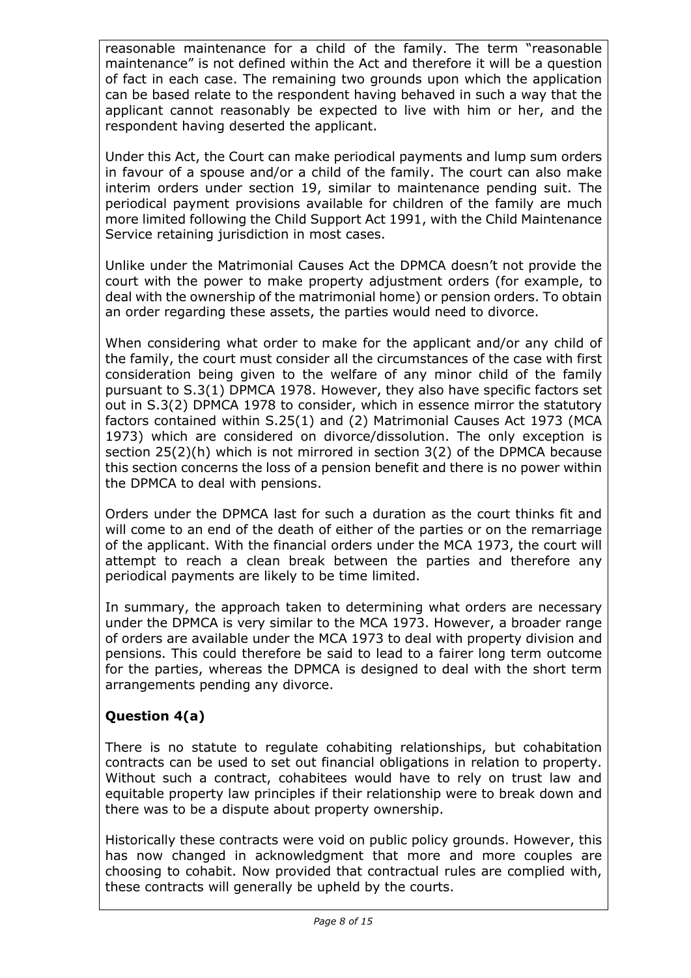reasonable maintenance for a child of the family. The term "reasonable maintenance" is not defined within the Act and therefore it will be a question of fact in each case. The remaining two grounds upon which the application can be based relate to the respondent having behaved in such a way that the applicant cannot reasonably be expected to live with him or her, and the respondent having deserted the applicant.

Under this Act, the Court can make periodical payments and lump sum orders in favour of a spouse and/or a child of the family. The court can also make interim orders under section 19, similar to maintenance pending suit. The periodical payment provisions available for children of the family are much more limited following the Child Support Act 1991, with the Child Maintenance Service retaining jurisdiction in most cases.

Unlike under the Matrimonial Causes Act the DPMCA doesn't not provide the court with the power to make property adjustment orders (for example, to deal with the ownership of the matrimonial home) or pension orders. To obtain an order regarding these assets, the parties would need to divorce.

When considering what order to make for the applicant and/or any child of the family, the court must consider all the circumstances of the case with first consideration being given to the welfare of any minor child of the family pursuant to S.3(1) DPMCA 1978. However, they also have specific factors set out in S.3(2) DPMCA 1978 to consider, which in essence mirror the statutory factors contained within S.25(1) and (2) Matrimonial Causes Act 1973 (MCA 1973) which are considered on divorce/dissolution. The only exception is section 25(2)(h) which is not mirrored in section 3(2) of the DPMCA because this section concerns the loss of a pension benefit and there is no power within the DPMCA to deal with pensions.

Orders under the DPMCA last for such a duration as the court thinks fit and will come to an end of the death of either of the parties or on the remarriage of the applicant. With the financial orders under the MCA 1973, the court will attempt to reach a clean break between the parties and therefore any periodical payments are likely to be time limited.

In summary, the approach taken to determining what orders are necessary under the DPMCA is very similar to the MCA 1973. However, a broader range of orders are available under the MCA 1973 to deal with property division and pensions. This could therefore be said to lead to a fairer long term outcome for the parties, whereas the DPMCA is designed to deal with the short term arrangements pending any divorce.

# **Question 4(a)**

There is no statute to regulate cohabiting relationships, but cohabitation contracts can be used to set out financial obligations in relation to property. Without such a contract, cohabitees would have to rely on trust law and equitable property law principles if their relationship were to break down and there was to be a dispute about property ownership.

Historically these contracts were void on public policy grounds. However, this has now changed in acknowledgment that more and more couples are choosing to cohabit. Now provided that contractual rules are complied with, these contracts will generally be upheld by the courts.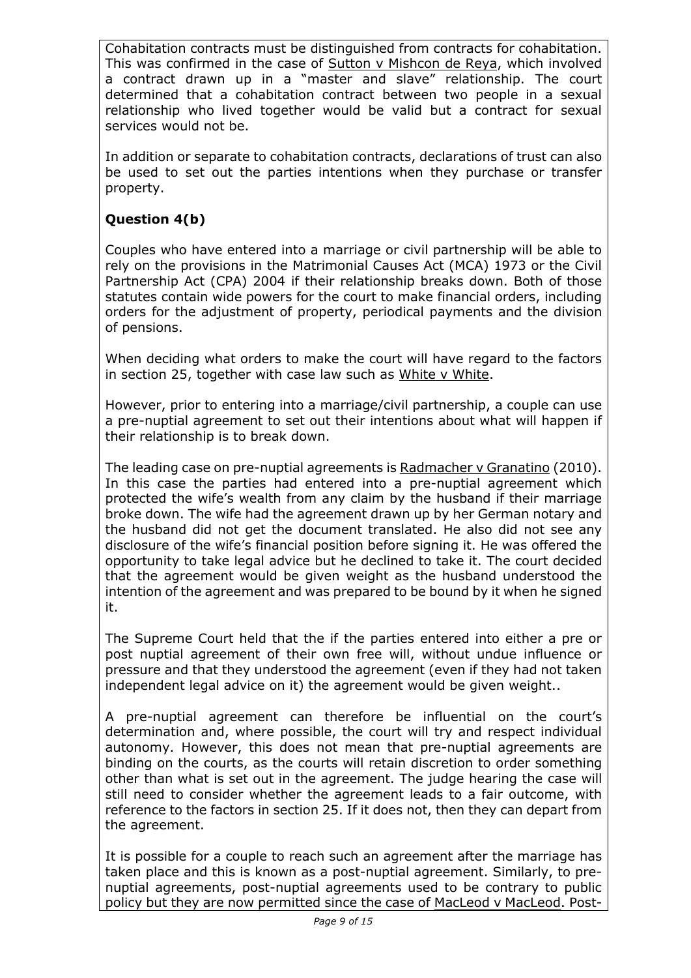Cohabitation contracts must be distinguished from contracts for cohabitation. This was confirmed in the case of Sutton v Mishcon de Reya, which involved a contract drawn up in a "master and slave" relationship. The court determined that a cohabitation contract between two people in a sexual relationship who lived together would be valid but a contract for sexual services would not be.

In addition or separate to cohabitation contracts, declarations of trust can also be used to set out the parties intentions when they purchase or transfer property.

# **Question 4(b)**

Couples who have entered into a marriage or civil partnership will be able to rely on the provisions in the Matrimonial Causes Act (MCA) 1973 or the Civil Partnership Act (CPA) 2004 if their relationship breaks down. Both of those statutes contain wide powers for the court to make financial orders, including orders for the adjustment of property, periodical payments and the division of pensions.

When deciding what orders to make the court will have regard to the factors in section 25, together with case law such as White v White.

However, prior to entering into a marriage/civil partnership, a couple can use a pre-nuptial agreement to set out their intentions about what will happen if their relationship is to break down.

The leading case on pre-nuptial agreements is Radmacher v Granatino (2010). In this case the parties had entered into a pre-nuptial agreement which protected the wife's wealth from any claim by the husband if their marriage broke down. The wife had the agreement drawn up by her German notary and the husband did not get the document translated. He also did not see any disclosure of the wife's financial position before signing it. He was offered the opportunity to take legal advice but he declined to take it. The court decided that the agreement would be given weight as the husband understood the intention of the agreement and was prepared to be bound by it when he signed it.

The Supreme Court held that the if the parties entered into either a pre or post nuptial agreement of their own free will, without undue influence or pressure and that they understood the agreement (even if they had not taken independent legal advice on it) the agreement would be given weight..

A pre-nuptial agreement can therefore be influential on the court's determination and, where possible, the court will try and respect individual autonomy. However, this does not mean that pre-nuptial agreements are binding on the courts, as the courts will retain discretion to order something other than what is set out in the agreement. The judge hearing the case will still need to consider whether the agreement leads to a fair outcome, with reference to the factors in section 25. If it does not, then they can depart from the agreement.

It is possible for a couple to reach such an agreement after the marriage has taken place and this is known as a post-nuptial agreement. Similarly, to prenuptial agreements, post-nuptial agreements used to be contrary to public policy but they are now permitted since the case of MacLeod v MacLeod. Post-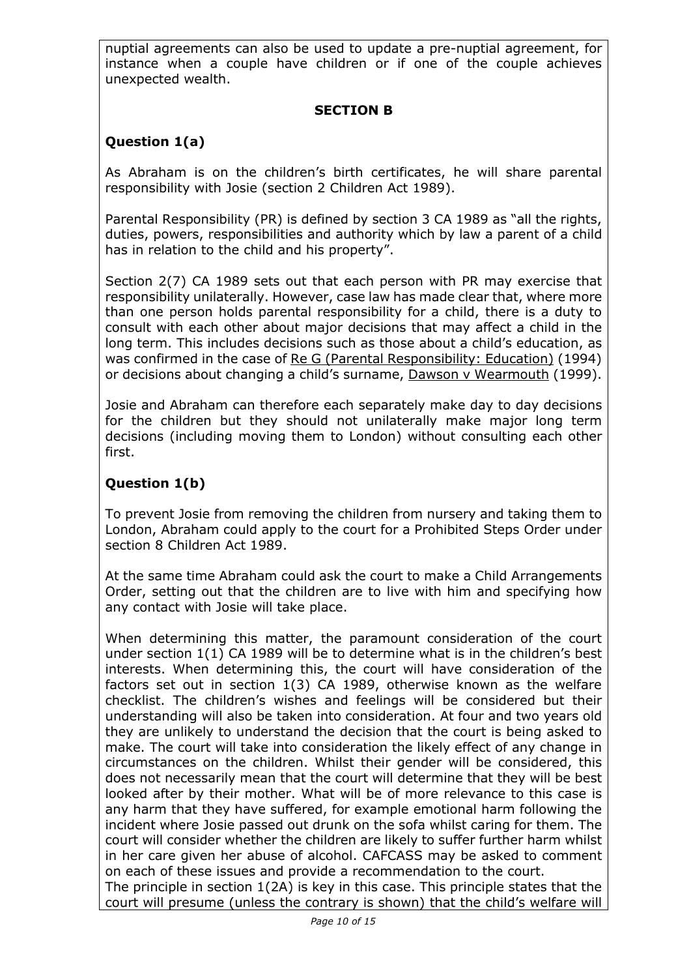nuptial agreements can also be used to update a pre-nuptial agreement, for instance when a couple have children or if one of the couple achieves unexpected wealth.

# **SECTION B**

# **Question 1(a)**

As Abraham is on the children's birth certificates, he will share parental responsibility with Josie (section 2 Children Act 1989).

Parental Responsibility (PR) is defined by section 3 CA 1989 as "all the rights, duties, powers, responsibilities and authority which by law a parent of a child has in relation to the child and his property".

Section 2(7) CA 1989 sets out that each person with PR may exercise that responsibility unilaterally. However, case law has made clear that, where more than one person holds parental responsibility for a child, there is a duty to consult with each other about major decisions that may affect a child in the long term. This includes decisions such as those about a child's education, as was confirmed in the case of Re G (Parental Responsibility: Education) (1994) or decisions about changing a child's surname, Dawson v Wearmouth (1999).

Josie and Abraham can therefore each separately make day to day decisions for the children but they should not unilaterally make major long term decisions (including moving them to London) without consulting each other first.

# **Question 1(b)**

To prevent Josie from removing the children from nursery and taking them to London, Abraham could apply to the court for a Prohibited Steps Order under section 8 Children Act 1989.

At the same time Abraham could ask the court to make a Child Arrangements Order, setting out that the children are to live with him and specifying how any contact with Josie will take place.

When determining this matter, the paramount consideration of the court under section 1(1) CA 1989 will be to determine what is in the children's best interests. When determining this, the court will have consideration of the factors set out in section 1(3) CA 1989, otherwise known as the welfare checklist. The children's wishes and feelings will be considered but their understanding will also be taken into consideration. At four and two years old they are unlikely to understand the decision that the court is being asked to make. The court will take into consideration the likely effect of any change in circumstances on the children. Whilst their gender will be considered, this does not necessarily mean that the court will determine that they will be best looked after by their mother. What will be of more relevance to this case is any harm that they have suffered, for example emotional harm following the incident where Josie passed out drunk on the sofa whilst caring for them. The court will consider whether the children are likely to suffer further harm whilst in her care given her abuse of alcohol. CAFCASS may be asked to comment on each of these issues and provide a recommendation to the court.

The principle in section 1(2A) is key in this case. This principle states that the court will presume (unless the contrary is shown) that the child's welfare will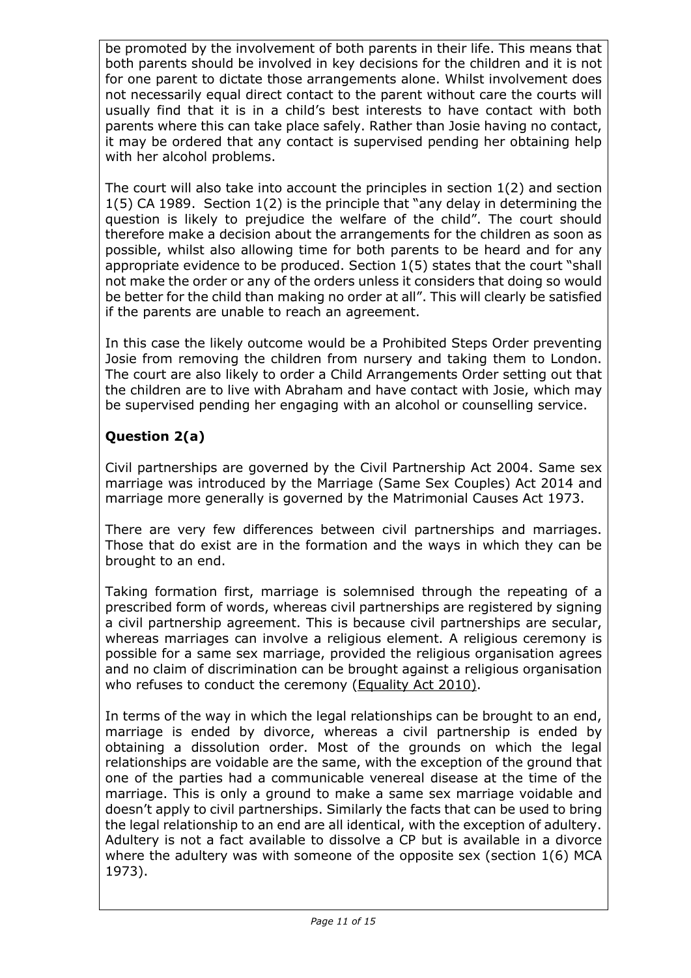be promoted by the involvement of both parents in their life. This means that both parents should be involved in key decisions for the children and it is not for one parent to dictate those arrangements alone. Whilst involvement does not necessarily equal direct contact to the parent without care the courts will usually find that it is in a child's best interests to have contact with both parents where this can take place safely. Rather than Josie having no contact, it may be ordered that any contact is supervised pending her obtaining help with her alcohol problems.

The court will also take into account the principles in section 1(2) and section 1(5) CA 1989. Section 1(2) is the principle that "any delay in determining the question is likely to prejudice the welfare of the child". The court should therefore make a decision about the arrangements for the children as soon as possible, whilst also allowing time for both parents to be heard and for any appropriate evidence to be produced. Section 1(5) states that the court "shall not make the order or any of the orders unless it considers that doing so would be better for the child than making no order at all". This will clearly be satisfied if the parents are unable to reach an agreement.

In this case the likely outcome would be a Prohibited Steps Order preventing Josie from removing the children from nursery and taking them to London. The court are also likely to order a Child Arrangements Order setting out that the children are to live with Abraham and have contact with Josie, which may be supervised pending her engaging with an alcohol or counselling service.

# **Question 2(a)**

Civil partnerships are governed by the Civil Partnership Act 2004. Same sex marriage was introduced by the Marriage (Same Sex Couples) Act 2014 and marriage more generally is governed by the Matrimonial Causes Act 1973.

There are very few differences between civil partnerships and marriages. Those that do exist are in the formation and the ways in which they can be brought to an end.

Taking formation first, marriage is solemnised through the repeating of a prescribed form of words, whereas civil partnerships are registered by signing a civil partnership agreement. This is because civil partnerships are secular, whereas marriages can involve a religious element. A religious ceremony is possible for a same sex marriage, provided the religious organisation agrees and no claim of discrimination can be brought against a religious organisation who refuses to conduct the ceremony (Equality Act 2010).

In terms of the way in which the legal relationships can be brought to an end, marriage is ended by divorce, whereas a civil partnership is ended by obtaining a dissolution order. Most of the grounds on which the legal relationships are voidable are the same, with the exception of the ground that one of the parties had a communicable venereal disease at the time of the marriage. This is only a ground to make a same sex marriage voidable and doesn't apply to civil partnerships. Similarly the facts that can be used to bring the legal relationship to an end are all identical, with the exception of adultery. Adultery is not a fact available to dissolve a CP but is available in a divorce where the adultery was with someone of the opposite sex (section 1(6) MCA 1973).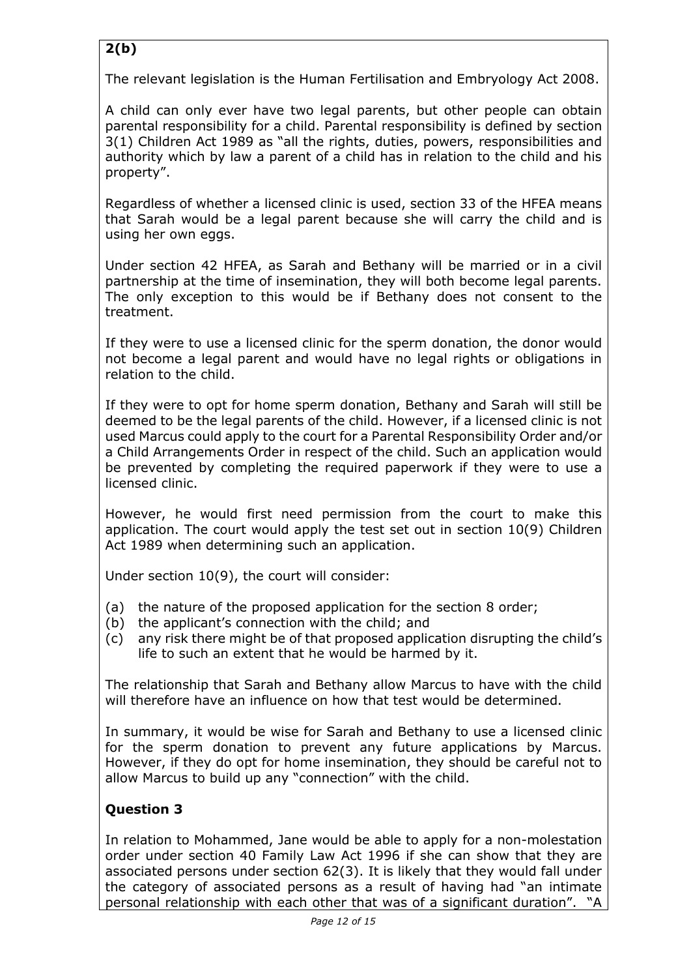# **2(b)**

The relevant legislation is the Human Fertilisation and Embryology Act 2008.

A child can only ever have two legal parents, but other people can obtain parental responsibility for a child. Parental responsibility is defined by section 3(1) Children Act 1989 as "all the rights, duties, powers, responsibilities and authority which by law a parent of a child has in relation to the child and his property".

Regardless of whether a licensed clinic is used, section 33 of the HFEA means that Sarah would be a legal parent because she will carry the child and is using her own eggs.

Under section 42 HFEA, as Sarah and Bethany will be married or in a civil partnership at the time of insemination, they will both become legal parents. The only exception to this would be if Bethany does not consent to the treatment.

If they were to use a licensed clinic for the sperm donation, the donor would not become a legal parent and would have no legal rights or obligations in relation to the child.

If they were to opt for home sperm donation, Bethany and Sarah will still be deemed to be the legal parents of the child. However, if a licensed clinic is not used Marcus could apply to the court for a Parental Responsibility Order and/or a Child Arrangements Order in respect of the child. Such an application would be prevented by completing the required paperwork if they were to use a licensed clinic.

However, he would first need permission from the court to make this application. The court would apply the test set out in section 10(9) Children Act 1989 when determining such an application.

Under section 10(9), the court will consider:

- (a) the nature of the proposed application for the section 8 order;
- (b) the applicant's connection with the child; and
- (c) any risk there might be of that proposed application disrupting the child's life to such an extent that he would be harmed by it.

The relationship that Sarah and Bethany allow Marcus to have with the child will therefore have an influence on how that test would be determined.

In summary, it would be wise for Sarah and Bethany to use a licensed clinic for the sperm donation to prevent any future applications by Marcus. However, if they do opt for home insemination, they should be careful not to allow Marcus to build up any "connection" with the child.

# **Question 3**

In relation to Mohammed, Jane would be able to apply for a non-molestation order under section 40 Family Law Act 1996 if she can show that they are associated persons under section 62(3). It is likely that they would fall under the category of associated persons as a result of having had "an intimate personal relationship with each other that was of a significant duration". "A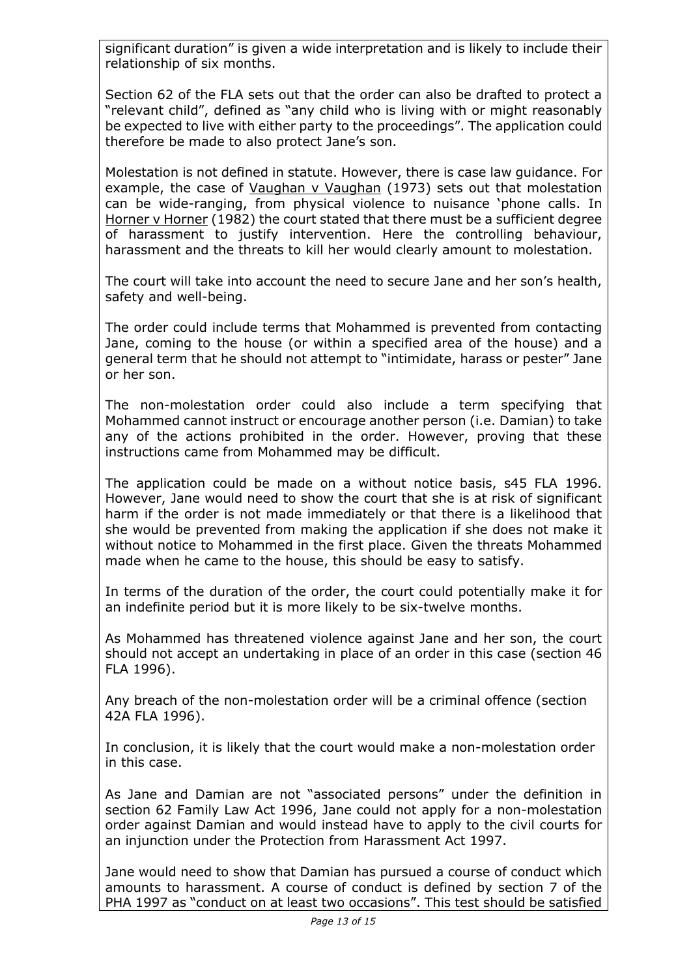significant duration" is given a wide interpretation and is likely to include their relationship of six months.

Section 62 of the FLA sets out that the order can also be drafted to protect a "relevant child", defined as "any child who is living with or might reasonably be expected to live with either party to the proceedings". The application could therefore be made to also protect Jane's son.

Molestation is not defined in statute. However, there is case law guidance. For example, the case of Vaughan v Vaughan (1973) sets out that molestation can be wide-ranging, from physical violence to nuisance 'phone calls. In Horner v Horner (1982) the court stated that there must be a sufficient degree of harassment to justify intervention. Here the controlling behaviour, harassment and the threats to kill her would clearly amount to molestation.

The court will take into account the need to secure Jane and her son's health, safety and well-being.

The order could include terms that Mohammed is prevented from contacting Jane, coming to the house (or within a specified area of the house) and a general term that he should not attempt to "intimidate, harass or pester" Jane or her son.

The non-molestation order could also include a term specifying that Mohammed cannot instruct or encourage another person (i.e. Damian) to take any of the actions prohibited in the order. However, proving that these instructions came from Mohammed may be difficult.

The application could be made on a without notice basis, s45 FLA 1996. However, Jane would need to show the court that she is at risk of significant harm if the order is not made immediately or that there is a likelihood that she would be prevented from making the application if she does not make it without notice to Mohammed in the first place. Given the threats Mohammed made when he came to the house, this should be easy to satisfy.

In terms of the duration of the order, the court could potentially make it for an indefinite period but it is more likely to be six-twelve months.

As Mohammed has threatened violence against Jane and her son, the court should not accept an undertaking in place of an order in this case (section 46 FLA 1996).

Any breach of the non-molestation order will be a criminal offence (section 42A FLA 1996).

In conclusion, it is likely that the court would make a non-molestation order in this case.

As Jane and Damian are not "associated persons" under the definition in section 62 Family Law Act 1996, Jane could not apply for a non-molestation order against Damian and would instead have to apply to the civil courts for an injunction under the Protection from Harassment Act 1997.

Jane would need to show that Damian has pursued a course of conduct which amounts to harassment. A course of conduct is defined by section 7 of the PHA 1997 as "conduct on at least two occasions". This test should be satisfied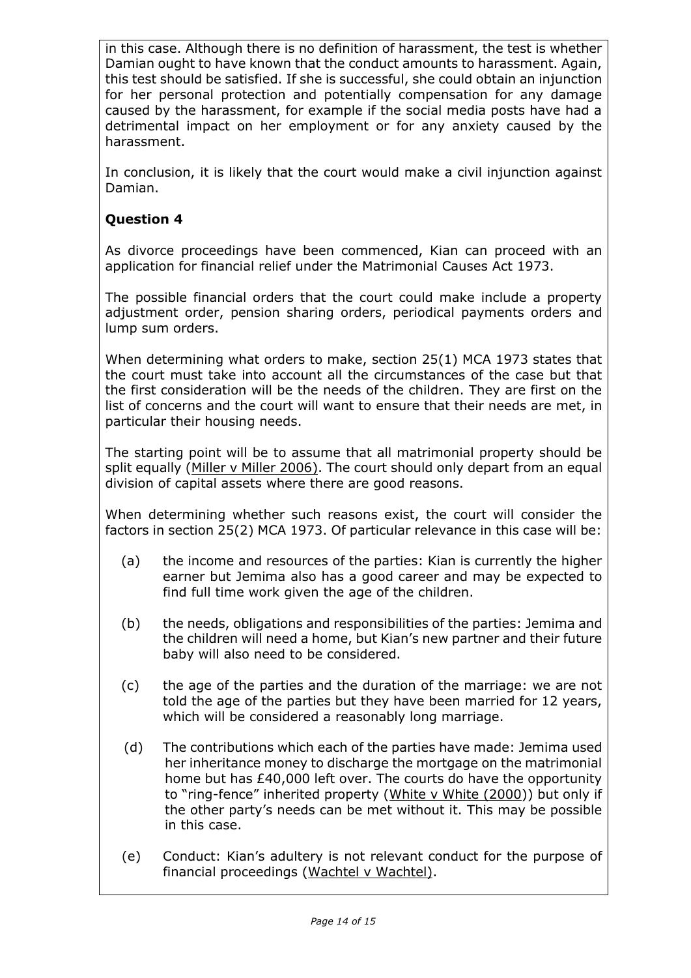in this case. Although there is no definition of harassment, the test is whether Damian ought to have known that the conduct amounts to harassment. Again, this test should be satisfied. If she is successful, she could obtain an injunction for her personal protection and potentially compensation for any damage caused by the harassment, for example if the social media posts have had a detrimental impact on her employment or for any anxiety caused by the harassment.

In conclusion, it is likely that the court would make a civil injunction against Damian.

# **Question 4**

As divorce proceedings have been commenced, Kian can proceed with an application for financial relief under the Matrimonial Causes Act 1973.

The possible financial orders that the court could make include a property adjustment order, pension sharing orders, periodical payments orders and lump sum orders.

When determining what orders to make, section 25(1) MCA 1973 states that the court must take into account all the circumstances of the case but that the first consideration will be the needs of the children. They are first on the list of concerns and the court will want to ensure that their needs are met, in particular their housing needs.

The starting point will be to assume that all matrimonial property should be split equally (Miller v Miller 2006). The court should only depart from an equal division of capital assets where there are good reasons.

When determining whether such reasons exist, the court will consider the factors in section 25(2) MCA 1973. Of particular relevance in this case will be:

- (a) the income and resources of the parties: Kian is currently the higher earner but Jemima also has a good career and may be expected to find full time work given the age of the children.
- (b) the needs, obligations and responsibilities of the parties: Jemima and the children will need a home, but Kian's new partner and their future baby will also need to be considered.
- (c) the age of the parties and the duration of the marriage: we are not told the age of the parties but they have been married for 12 years, which will be considered a reasonably long marriage.
- (d) The contributions which each of the parties have made: Jemima used her inheritance money to discharge the mortgage on the matrimonial home but has £40,000 left over. The courts do have the opportunity to "ring-fence" inherited property (White v White (2000)) but only if the other party's needs can be met without it. This may be possible in this case.
- (e) Conduct: Kian's adultery is not relevant conduct for the purpose of financial proceedings (Wachtel v Wachtel).